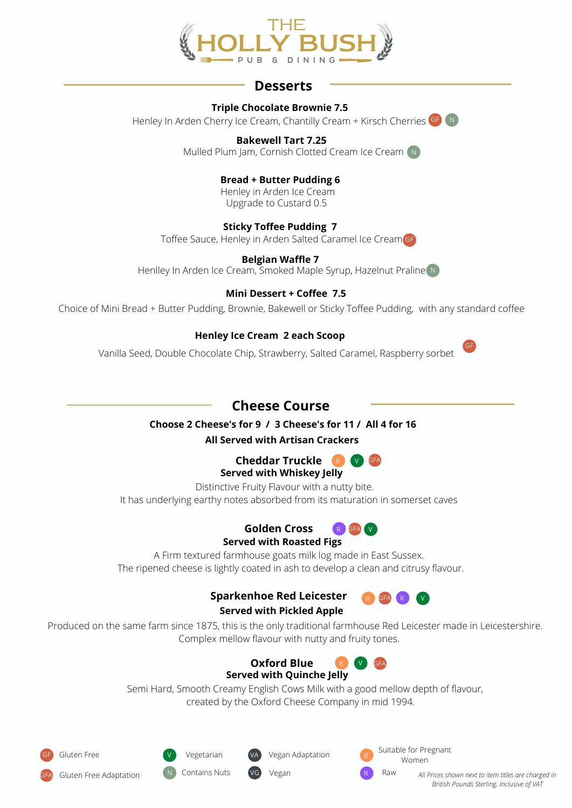

## **Desserts**

#### **Triple Chocolate Brownie 7.5**

Henley In Arden Cherry Ice Cream, Chantilly Cream + Kirsch Cherries GD N

**Bakewell Tart 7.25** Mulled Plum Jam, Cornish Clotted Cream Ice Cream (N)

> **Bread + Butter Pudding 6** Henley in Arden Ice Cream

Upgrade to Custard 0.5

## **Sticky Toffee Pudding 7**

Toffee Sauce, Henley in Arden Salted Caramel Ice Cream GF

**Belgian Waffle 7** Henlley In Arden Ice Cream, Smoked Maple Syrup, Hazelnut Praline N

## **Mini Dessert + Coffee 7.5**

Choice of Mini Bread + Butter Pudding, Brownie, Bakewell or Sticky Toffee Pudding, with any standard coffee

## **Henley Ice Cream 2 each Scoop**

Vanilla Seed, Double Chocolate Chip, Strawberry, Salted Caramel, Raspberry sorbet

## **Cheese Course**

#### **Choose 2 Cheese's for 9 / 3 Cheese's for 11 / All 4 for 16 All Served with Artisan Crackers**

# **Cheddar Truckle B W GFA**

## **Served with Whiskey Jelly**

Distinctive Fruity Flavour with a nutty bite. It has underlying earthy notes absorbed from its maturation in somerset caves

#### **Golden Cross Served with Roasted Figs** R GFA V

A Firm textured farmhouse goats milk log made in East Sussex. The ripened cheese is lightly coated in ash to develop a clean and citrusy flavour.

## **Sparkenhoe Red Leicester**





Produced on the same farm since 1875, this is the only traditional farmhouse Red Leicester made in Leicestershire. Complex mellow flavour with nutty and fruity tones.

#### **Oxford Blue Served with Quinche Jelly** B V GFA

Semi Hard, Smooth Creamy English Cows Milk with a good mellow depth of flavour, created by the Oxford Cheese Company in mid 1994.



Gluten Free Adaptation



**Contains Nuts** 

Vegan Adaptation

Suitable for Pregnant Women

**Raw** 

Vegan **All Prices shown next to item titles are charged in** *British Pounds Sterling, Inclusive of VAT*